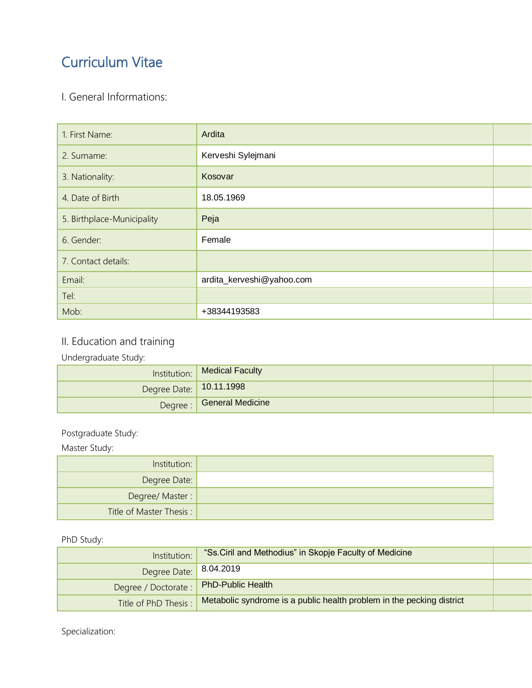# Curriculum Vitae

### I. General Informations:

| 1. First Name:             | Ardita                    |  |
|----------------------------|---------------------------|--|
| 2. Surname:                | Kerveshi Sylejmani        |  |
| 3. Nationality:            | Kosovar                   |  |
| 4. Date of Birth           | 18.05.1969                |  |
| 5. Birthplace-Municipality | Peja                      |  |
| 6. Gender:                 | Female                    |  |
| 7. Contact details:        |                           |  |
| Email:                     | ardita_kerveshi@yahoo.com |  |
| Tel:                       |                           |  |
| Mob:                       | +38344193583              |  |

## II. Education and training

#### Undergraduate Study:

|                         | Institution:   Medical Faculty |  |
|-------------------------|--------------------------------|--|
| Degree Date: 10.11.1998 |                                |  |
|                         | Degree : General Medicine      |  |

#### Postgraduate Study:

#### Master Study:

| Institution:             |
|--------------------------|
| Degree Date:             |
| Degree/Master:           |
| Title of Master Thesis : |

#### PhD Study:

| Institution:           | "Ss. Ciril and Methodius" in Skopje Faculty of Medicine               |  |
|------------------------|-----------------------------------------------------------------------|--|
| Degree Date: 8.04.2019 |                                                                       |  |
| Degree / Doctorate :   | <b>PhD-Public Health</b>                                              |  |
| Title of PhD Thesis:   | Metabolic syndrome is a public health problem in the pecking district |  |

Specialization: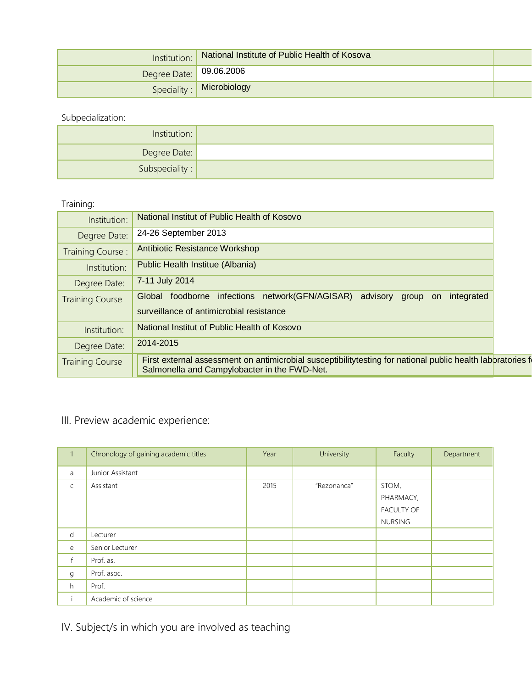|                           | Institution:   National Institute of Public Health of Kosova |  |
|---------------------------|--------------------------------------------------------------|--|
| Degree Date: $09.06.2006$ |                                                              |  |
|                           | $Speciality:$ Microbiology                                   |  |

Subpecialization:

| Institution:            |  |
|-------------------------|--|
| Degree Date:            |  |
| Subspeciality : $\vert$ |  |

#### Training:

| Institution:           | National Institut of Public Health of Kosovo                                                                                                                 |  |
|------------------------|--------------------------------------------------------------------------------------------------------------------------------------------------------------|--|
| Degree Date:           | 24-26 September 2013                                                                                                                                         |  |
| Training Course:       | Antibiotic Resistance Workshop                                                                                                                               |  |
| Institution:           | Public Health Institue (Albania)                                                                                                                             |  |
| Degree Date:           | 7-11 July 2014                                                                                                                                               |  |
| <b>Training Course</b> | infections network(GFN/AGISAR) advisory<br>integrated<br>foodborne<br>Global<br>group<br>on                                                                  |  |
|                        | surveillance of antimicrobial resistance                                                                                                                     |  |
| Institution:           | National Institut of Public Health of Kosovo                                                                                                                 |  |
| Degree Date:           | 2014-2015                                                                                                                                                    |  |
| <b>Training Course</b> | First external assessment on antimicrobial susceptibilitytesting for national public health laboratories for<br>Salmonella and Campylobacter in the FWD-Net. |  |

## III. Preview academic experience:

| $\overline{1}$ | Chronology of gaining academic titles | Year | University  | Faculty           | Department |
|----------------|---------------------------------------|------|-------------|-------------------|------------|
| a              | Junior Assistant                      |      |             |                   |            |
| $\mathsf{C}$   | Assistant                             | 2015 | "Rezonanca" | STOM,             |            |
|                |                                       |      |             | PHARMACY,         |            |
|                |                                       |      |             | <b>FACULTY OF</b> |            |
|                |                                       |      |             | <b>NURSING</b>    |            |
| d              | Lecturer                              |      |             |                   |            |
| e              | Senior Lecturer                       |      |             |                   |            |
| $\mathsf{f}$   | Prof. as.                             |      |             |                   |            |
| g              | Prof. asoc.                           |      |             |                   |            |
| h              | Prof.                                 |      |             |                   |            |
| ÷              | Academic of science                   |      |             |                   |            |

IV. Subject/s in which you are involved as teaching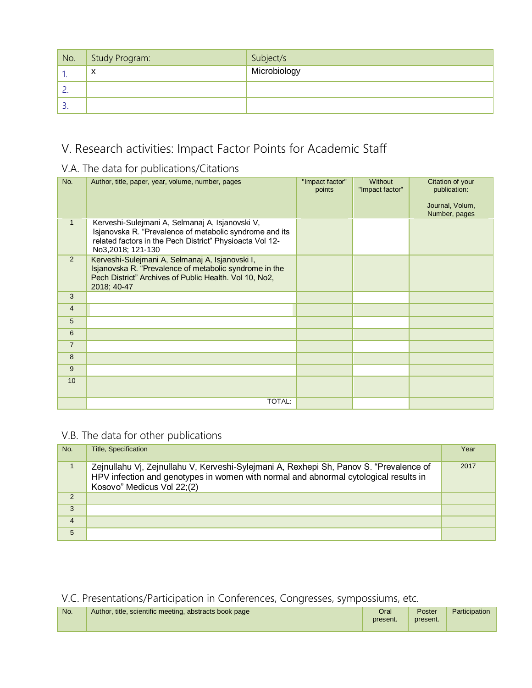| No. | Study Program: | Subject/s    |
|-----|----------------|--------------|
|     | X              | Microbiology |
|     |                |              |
|     |                |              |

## V. Research activities: Impact Factor Points for Academic Staff

### V.A. The data for publications/Citations

| No.            | Author, title, paper, year, volume, number, pages                                                                                                                                           | "Impact factor"<br>points | Without<br>"Impact factor" | Citation of your<br>publication:<br>Journal, Volum,<br>Number, pages |
|----------------|---------------------------------------------------------------------------------------------------------------------------------------------------------------------------------------------|---------------------------|----------------------------|----------------------------------------------------------------------|
| $\mathbf{1}$   | Kerveshi-Sulejmani A, Selmanaj A, Isjanovski V,<br>Isjanovska R. "Prevalence of metabolic syndrome and its<br>related factors in the Pech District" Physioacta Vol 12-<br>No3,2018; 121-130 |                           |                            |                                                                      |
| 2              | Kerveshi-Sulejmani A, Selmanaj A, Isjanovski I,<br>Isjanovska R. "Prevalence of metabolic syndrome in the<br>Pech District" Archives of Public Health. Vol 10, No2,<br>2018; 40-47          |                           |                            |                                                                      |
| 3              |                                                                                                                                                                                             |                           |                            |                                                                      |
| $\overline{4}$ |                                                                                                                                                                                             |                           |                            |                                                                      |
| 5              |                                                                                                                                                                                             |                           |                            |                                                                      |
| 6              |                                                                                                                                                                                             |                           |                            |                                                                      |
| $\overline{7}$ |                                                                                                                                                                                             |                           |                            |                                                                      |
| 8              |                                                                                                                                                                                             |                           |                            |                                                                      |
| 9              |                                                                                                                                                                                             |                           |                            |                                                                      |
| 10             |                                                                                                                                                                                             |                           |                            |                                                                      |
|                | TOTAL:                                                                                                                                                                                      |                           |                            |                                                                      |

### V.B. The data for other publications

| No.            | <b>Title, Specification</b>                                                                                                                                                                                  | Year |
|----------------|--------------------------------------------------------------------------------------------------------------------------------------------------------------------------------------------------------------|------|
|                | Zejnullahu Vj, Zejnullahu V, Kerveshi-Sylejmani A, Rexhepi Sh, Panov S. "Prevalence of<br>HPV infection and genotypes in women with normal and abnormal cytological results in<br>Kosovo" Medicus Vol 22;(2) | 2017 |
| 2              |                                                                                                                                                                                                              |      |
| 3              |                                                                                                                                                                                                              |      |
| $\overline{4}$ |                                                                                                                                                                                                              |      |
| 5              |                                                                                                                                                                                                              |      |

## V.C. Presentations/Participation in Conferences, Congresses, sympossiums, etc.

| No. | Author, title, scientific meeting, abstracts book page | Oral<br>present. | Poster<br>present. | Participation |
|-----|--------------------------------------------------------|------------------|--------------------|---------------|
|     |                                                        |                  |                    |               |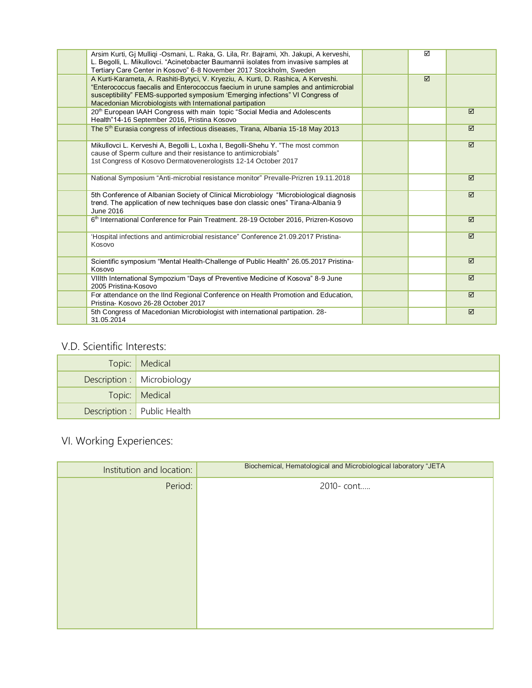| ⊠ |   |
|---|---|
| ⊠ |   |
|   | ☑ |
|   | ☑ |
|   | ☑ |
|   | ☑ |
|   | ☑ |
|   | ☑ |
|   | ⊠ |
|   | ☑ |
|   | ☑ |
|   | ⊠ |
|   | ☑ |
|   |   |

### V.D. Scientific Interests:

| Topic:   Medical             |
|------------------------------|
| Description :   Microbiology |
| Topic:   Medical             |
| Description : Public Health  |

## VI. Working Experiences:

| Institution and location: | Biochemical, Hematological and Microbiological laboratory "JETA |
|---------------------------|-----------------------------------------------------------------|
| Period:                   | 2010-cont                                                       |
|                           |                                                                 |
|                           |                                                                 |
|                           |                                                                 |
|                           |                                                                 |
|                           |                                                                 |
|                           |                                                                 |
|                           |                                                                 |
|                           |                                                                 |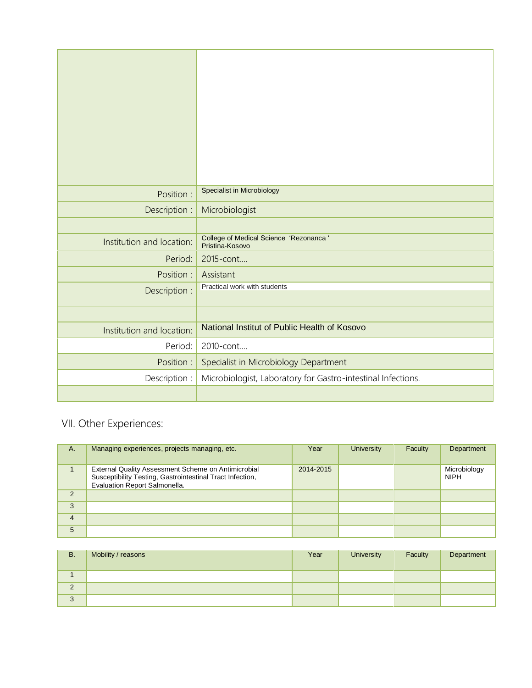| Position:                 | <b>Specialist in Microbiology</b>                            |
|---------------------------|--------------------------------------------------------------|
| Description :             | Microbiologist                                               |
|                           |                                                              |
| Institution and location: | College of Medical Science 'Rezonanca'<br>Pristina-Kosovo    |
| Period:                   | 2015-cont                                                    |
| Position :                | Assistant                                                    |
| Description :             | Practical work with students                                 |
|                           |                                                              |
| Institution and location: | National Institut of Public Health of Kosovo                 |
| Period:                   | 2010-cont                                                    |
| Position:                 | Specialist in Microbiology Department                        |
| Description :             | Microbiologist, Laboratory for Gastro-intestinal Infections. |
|                           |                                                              |

## VII. Other Experiences:

| Α.             | Managing experiences, projects managing, etc.                                                                                                     | Year      | <b>University</b> | Faculty | Department                  |
|----------------|---------------------------------------------------------------------------------------------------------------------------------------------------|-----------|-------------------|---------|-----------------------------|
|                | External Quality Assessment Scheme on Antimicrobial<br>Susceptibility Testing, Gastrointestinal Tract Infection,<br>Evaluation Report Salmonella. | 2014-2015 |                   |         | Microbiology<br><b>NIPH</b> |
| 2              |                                                                                                                                                   |           |                   |         |                             |
| 3              |                                                                                                                                                   |           |                   |         |                             |
| $\overline{4}$ |                                                                                                                                                   |           |                   |         |                             |
| 5              |                                                                                                                                                   |           |                   |         |                             |

| <b>B.</b>       | Mobility / reasons | Year | <b>University</b> | Faculty | Department |
|-----------------|--------------------|------|-------------------|---------|------------|
|                 |                    |      |                   |         |            |
| $\epsilon$<br>L |                    |      |                   |         |            |
| $\Omega$<br>J.  |                    |      |                   |         |            |